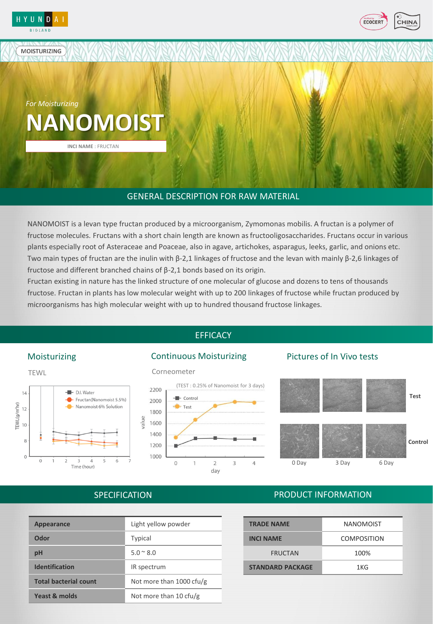

**MOISTURIZING** 



**NANOMOIST** *For Moisturizing*

**INCI NAME** : FRUCTAN

# GENERAL DESCRIPTION FOR RAW MATERIAL

NANOMOIST is a levan type fructan produced by a microorganism, Zymomonas mobilis. A fructan is a polymer of fructose molecules. Fructans with a short chain length are known as fructooligosaccharides. Fructans occur in various plants especially root of Asteraceae and Poaceae, also in agave, artichokes, asparagus, leeks, garlic, and onions etc. Two main types of fructan are the inulin with β-2,1 linkages of fructose and the levan with mainly β-2,6 linkages of fructose and different branched chains of β-2,1 bonds based on its origin.

Fructan existing in nature has the linked structure of one molecular of glucose and dozens to tens of thousands fructose. Fructan in plants has low molecular weight with up to 200 linkages of fructose while fructan produced by microorganisms has high molecular weight with up to hundred thousand fructose linkages.

# **EFFICACY**



#### Corneometer



### Moisturizing **Continuous Moisturizing** Pictures of In Vivo tests



# **SPECIFICATION**

| <b>Appearance</b>            | Light yellow powder      |
|------------------------------|--------------------------|
| Odor                         | <b>Typical</b>           |
| pH                           | $5.0 \times 8.0$         |
| <b>Identification</b>        | IR spectrum              |
| <b>Total bacterial count</b> | Not more than 1000 cfu/g |
| Yeast & molds                | Not more than 10 cfu/g   |
|                              |                          |

# PRODUCT INFORMATION

| <b>TRADE NAME</b>       | <b>NANOMOIST</b>   |
|-------------------------|--------------------|
| <b>INCI NAME</b>        | <b>COMPOSITION</b> |
| <b>FRUCTAN</b>          | 100%               |
| <b>STANDARD PACKAGE</b> | 1KG                |